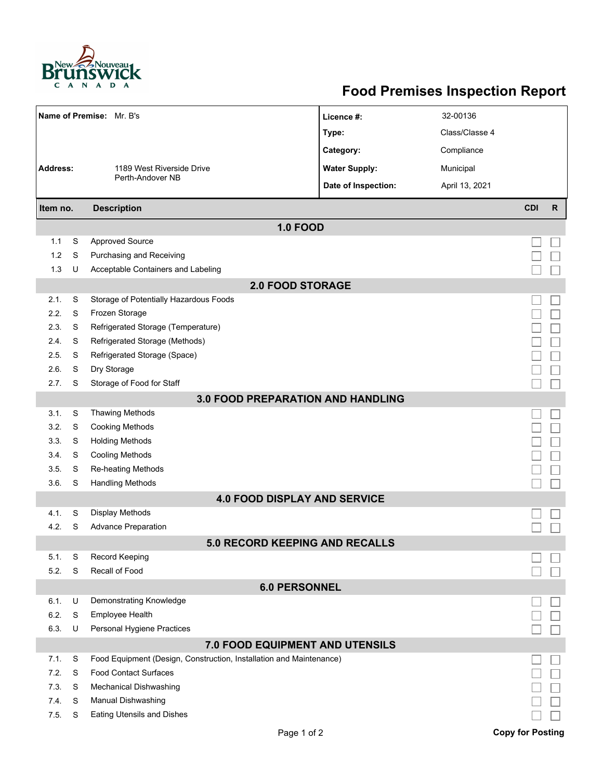

## **Food Premises Inspection Report**

|                                          |   | Name of Premise: Mr. B's                                            | Licence #:                          | 32-00136       |                         |              |  |  |  |  |
|------------------------------------------|---|---------------------------------------------------------------------|-------------------------------------|----------------|-------------------------|--------------|--|--|--|--|
|                                          |   |                                                                     | Type:                               | Class/Classe 4 |                         |              |  |  |  |  |
|                                          |   |                                                                     | Category:                           | Compliance     |                         |              |  |  |  |  |
| <b>Address:</b>                          |   | 1189 West Riverside Drive                                           | <b>Water Supply:</b>                | Municipal      |                         |              |  |  |  |  |
|                                          |   | Perth-Andover NB                                                    | Date of Inspection:                 | April 13, 2021 |                         |              |  |  |  |  |
|                                          |   |                                                                     |                                     |                |                         |              |  |  |  |  |
| <b>Description</b><br>Item no.           |   |                                                                     |                                     |                | <b>CDI</b>              | $\mathsf{R}$ |  |  |  |  |
|                                          |   |                                                                     | <b>1.0 FOOD</b>                     |                |                         |              |  |  |  |  |
| 1.1                                      | S | <b>Approved Source</b>                                              |                                     |                |                         |              |  |  |  |  |
| 1.2                                      | S | Purchasing and Receiving                                            |                                     |                |                         |              |  |  |  |  |
| 1.3                                      | U | Acceptable Containers and Labeling                                  |                                     |                |                         |              |  |  |  |  |
| <b>2.0 FOOD STORAGE</b>                  |   |                                                                     |                                     |                |                         |              |  |  |  |  |
| 2.1.                                     | S | Storage of Potentially Hazardous Foods                              |                                     |                |                         |              |  |  |  |  |
| 2.2.                                     | S | Frozen Storage                                                      |                                     |                |                         |              |  |  |  |  |
| 2.3.                                     | S | Refrigerated Storage (Temperature)                                  |                                     |                |                         |              |  |  |  |  |
| 2.4.                                     | S | Refrigerated Storage (Methods)                                      |                                     |                |                         |              |  |  |  |  |
| 2.5.                                     | S | Refrigerated Storage (Space)                                        |                                     |                |                         |              |  |  |  |  |
| 2.6.                                     | S | Dry Storage                                                         |                                     |                |                         |              |  |  |  |  |
| 2.7.                                     | S | Storage of Food for Staff                                           |                                     |                |                         |              |  |  |  |  |
| <b>3.0 FOOD PREPARATION AND HANDLING</b> |   |                                                                     |                                     |                |                         |              |  |  |  |  |
| 3.1.                                     | S | <b>Thawing Methods</b>                                              |                                     |                |                         |              |  |  |  |  |
| 3.2.                                     | S | <b>Cooking Methods</b>                                              |                                     |                |                         |              |  |  |  |  |
| 3.3.                                     | S | <b>Holding Methods</b>                                              |                                     |                |                         |              |  |  |  |  |
| 3.4.                                     | S | Cooling Methods                                                     |                                     |                |                         |              |  |  |  |  |
| 3.5.                                     | S | Re-heating Methods                                                  |                                     |                |                         |              |  |  |  |  |
| 36.                                      | S | <b>Handling Methods</b>                                             |                                     |                |                         |              |  |  |  |  |
|                                          |   |                                                                     | <b>4.0 FOOD DISPLAY AND SERVICE</b> |                |                         |              |  |  |  |  |
| 4.1.                                     | S | Display Methods                                                     |                                     |                |                         |              |  |  |  |  |
| 4.2.                                     | S | <b>Advance Preparation</b>                                          |                                     |                |                         |              |  |  |  |  |
|                                          |   |                                                                     | 5.0 RECORD KEEPING AND RECALLS      |                |                         |              |  |  |  |  |
| 5.1.                                     | S | Record Keeping                                                      |                                     |                |                         |              |  |  |  |  |
| 5.2.                                     | S | Recall of Food                                                      |                                     |                |                         |              |  |  |  |  |
| <b>6.0 PERSONNEL</b>                     |   |                                                                     |                                     |                |                         |              |  |  |  |  |
| 6.1.                                     | U | Demonstrating Knowledge                                             |                                     |                |                         |              |  |  |  |  |
| 6.2.                                     | S | Employee Health                                                     |                                     |                |                         |              |  |  |  |  |
| 6.3.                                     | U | Personal Hygiene Practices                                          |                                     |                |                         |              |  |  |  |  |
| 7.0 FOOD EQUIPMENT AND UTENSILS          |   |                                                                     |                                     |                |                         |              |  |  |  |  |
| 7.1.                                     | S | Food Equipment (Design, Construction, Installation and Maintenance) |                                     |                |                         |              |  |  |  |  |
| 7.2.                                     | S | <b>Food Contact Surfaces</b>                                        |                                     |                |                         |              |  |  |  |  |
| 7.3.                                     | S | Mechanical Dishwashing                                              |                                     |                |                         |              |  |  |  |  |
| 7.4.                                     | S | Manual Dishwashing                                                  |                                     |                |                         |              |  |  |  |  |
| 7.5.                                     | S | <b>Eating Utensils and Dishes</b>                                   |                                     |                |                         |              |  |  |  |  |
|                                          |   |                                                                     | Page 1 of 2                         |                | <b>Copy for Posting</b> |              |  |  |  |  |